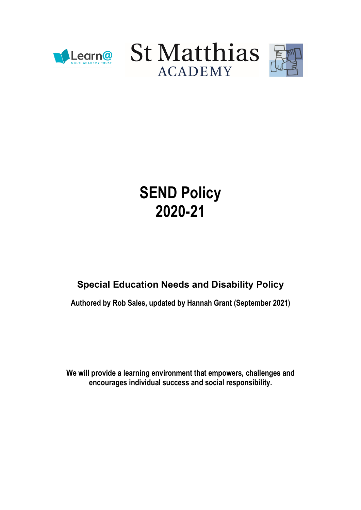





# SEND Policy 2020-21

# Special Education Needs and Disability Policy

Authored by Rob Sales, updated by Hannah Grant (September 2021)

We will provide a learning environment that empowers, challenges and encourages individual success and social responsibility.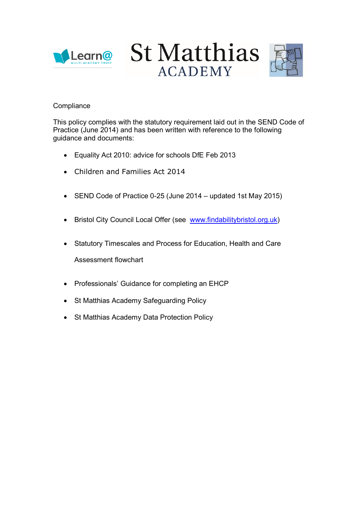





# **Compliance**

This policy complies with the statutory requirement laid out in the SEND Code of Practice (June 2014) and has been written with reference to the following guidance and documents:

- Equality Act 2010: advice for schools DfE Feb 2013
- Children and Families Act 2014
- SEND Code of Practice 0-25 (June 2014 updated 1st May 2015)
- Bristol City Council Local Offer (see www.findabilitybristol.org.uk)
- Statutory Timescales and Process for Education, Health and Care Assessment flowchart
- Professionals' Guidance for completing an EHCP
- St Matthias Academy Safeguarding Policy
- St Matthias Academy Data Protection Policy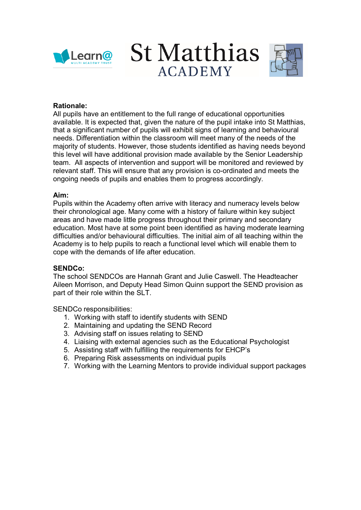





# Rationale:

All pupils have an entitlement to the full range of educational opportunities available. It is expected that, given the nature of the pupil intake into St Matthias, that a significant number of pupils will exhibit signs of learning and behavioural needs. Differentiation within the classroom will meet many of the needs of the majority of students. However, those students identified as having needs beyond this level will have additional provision made available by the Senior Leadership team. All aspects of intervention and support will be monitored and reviewed by relevant staff. This will ensure that any provision is co-ordinated and meets the ongoing needs of pupils and enables them to progress accordingly.

### Aim:

Pupils within the Academy often arrive with literacy and numeracy levels below their chronological age. Many come with a history of failure within key subject areas and have made little progress throughout their primary and secondary education. Most have at some point been identified as having moderate learning difficulties and/or behavioural difficulties. The initial aim of all teaching within the Academy is to help pupils to reach a functional level which will enable them to cope with the demands of life after education.

#### SENDCo:

The school SENDCOs are Hannah Grant and Julie Caswell. The Headteacher Aileen Morrison, and Deputy Head Simon Quinn support the SEND provision as part of their role within the SLT.

SENDCo responsibilities:

- 1. Working with staff to identify students with SEND
- 2. Maintaining and updating the SEND Record
- 3. Advising staff on issues relating to SEND
- 4. Liaising with external agencies such as the Educational Psychologist
- 5. Assisting staff with fulfilling the requirements for EHCP's
- 6. Preparing Risk assessments on individual pupils
- 7. Working with the Learning Mentors to provide individual support packages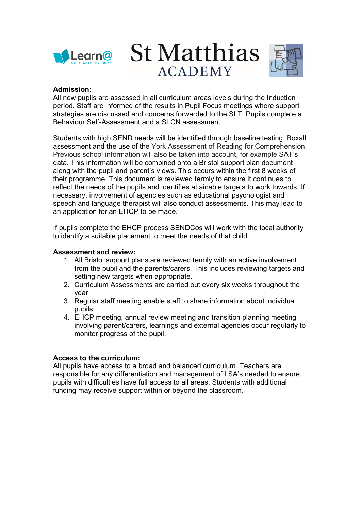





## Admission:

All new pupils are assessed in all curriculum areas levels during the Induction period. Staff are informed of the results in Pupil Focus meetings where support strategies are discussed and concerns forwarded to the SLT. Pupils complete a Behaviour Self-Assessment and a SLCN assessment.

Students with high SEND needs will be identified through baseline testing, Boxall assessment and the use of the York Assessment of Reading for Comprehension. Previous school information will also be taken into account, for example SAT's data. This information will be combined onto a Bristol support plan document along with the pupil and parent's views. This occurs within the first 8 weeks of their programme. This document is reviewed termly to ensure it continues to reflect the needs of the pupils and identifies attainable targets to work towards. If necessary, involvement of agencies such as educational psychologist and speech and language therapist will also conduct assessments. This may lead to an application for an EHCP to be made.

If pupils complete the EHCP process SENDCos will work with the local authority to identify a suitable placement to meet the needs of that child.

### Assessment and review:

- 1. All Bristol support plans are reviewed termly with an active involvement from the pupil and the parents/carers. This includes reviewing targets and setting new targets when appropriate.
- 2. Curriculum Assessments are carried out every six weeks throughout the year
- 3. Regular staff meeting enable staff to share information about individual pupils.
- 4. EHCP meeting, annual review meeting and transition planning meeting involving parent/carers, learnings and external agencies occur regularly to monitor progress of the pupil.

# Access to the curriculum:

All pupils have access to a broad and balanced curriculum. Teachers are responsible for any differentiation and management of LSA's needed to ensure pupils with difficulties have full access to all areas. Students with additional funding may receive support within or beyond the classroom.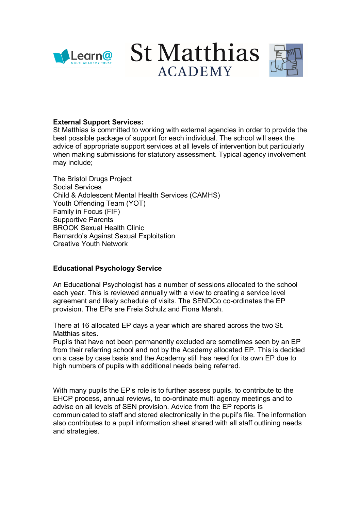

**St Matthias ACADEMY** 



# External Support Services:

St Matthias is committed to working with external agencies in order to provide the best possible package of support for each individual. The school will seek the advice of appropriate support services at all levels of intervention but particularly when making submissions for statutory assessment. Typical agency involvement may include;

The Bristol Drugs Project Social Services Child & Adolescent Mental Health Services (CAMHS) Youth Offending Team (YOT) Family in Focus (FIF) Supportive Parents BROOK Sexual Health Clinic Barnardo's Against Sexual Exploitation Creative Youth Network

# Educational Psychology Service

An Educational Psychologist has a number of sessions allocated to the school each year. This is reviewed annually with a view to creating a service level agreement and likely schedule of visits. The SENDCo co-ordinates the EP provision. The EPs are Freia Schulz and Fiona Marsh.

There at 16 allocated EP days a year which are shared across the two St. Matthias sites.

Pupils that have not been permanently excluded are sometimes seen by an EP from their referring school and not by the Academy allocated EP. This is decided on a case by case basis and the Academy still has need for its own EP due to high numbers of pupils with additional needs being referred.

With many pupils the EP's role is to further assess pupils, to contribute to the EHCP process, annual reviews, to co-ordinate multi agency meetings and to advise on all levels of SEN provision. Advice from the EP reports is communicated to staff and stored electronically in the pupil's file. The information also contributes to a pupil information sheet shared with all staff outlining needs and strategies.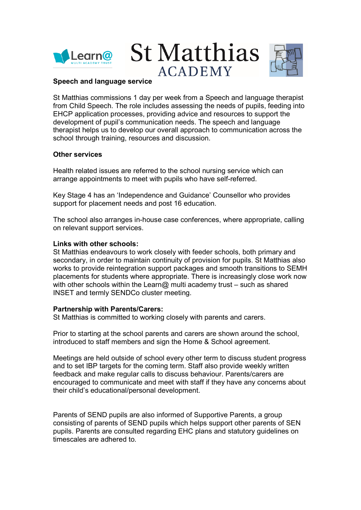





### Speech and language service

St Matthias commissions 1 day per week from a Speech and language therapist from Child Speech. The role includes assessing the needs of pupils, feeding into EHCP application processes, providing advice and resources to support the development of pupil's communication needs. The speech and language therapist helps us to develop our overall approach to communication across the school through training, resources and discussion.

### Other services

Health related issues are referred to the school nursing service which can arrange appointments to meet with pupils who have self-referred.

Key Stage 4 has an 'Independence and Guidance' Counsellor who provides support for placement needs and post 16 education.

The school also arranges in-house case conferences, where appropriate, calling on relevant support services.

#### Links with other schools:

St Matthias endeavours to work closely with feeder schools, both primary and secondary, in order to maintain continuity of provision for pupils. St Matthias also works to provide reintegration support packages and smooth transitions to SEMH placements for students where appropriate. There is increasingly close work now with other schools within the Learn@ multi academy trust – such as shared INSET and termly SENDCo cluster meeting.

#### Partnership with Parents/Carers:

St Matthias is committed to working closely with parents and carers.

Prior to starting at the school parents and carers are shown around the school, introduced to staff members and sign the Home & School agreement.

Meetings are held outside of school every other term to discuss student progress and to set IBP targets for the coming term. Staff also provide weekly written feedback and make regular calls to discuss behaviour. Parents/carers are encouraged to communicate and meet with staff if they have any concerns about their child's educational/personal development.

Parents of SEND pupils are also informed of Supportive Parents, a group consisting of parents of SEND pupils which helps support other parents of SEN pupils. Parents are consulted regarding EHC plans and statutory guidelines on timescales are adhered to.